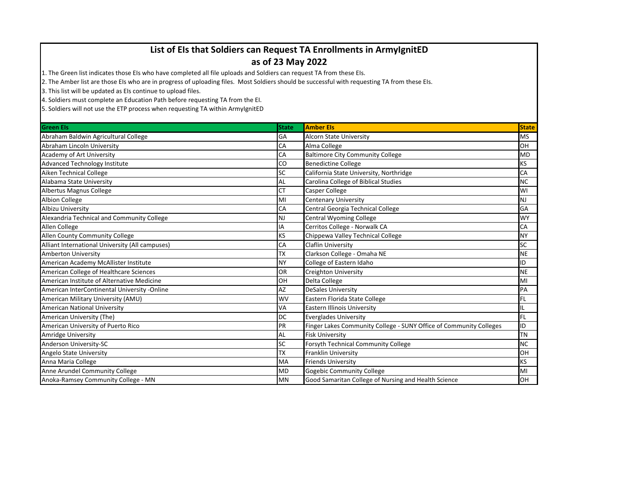## **List of EIs that Soldiers can Request TA Enrollments in ArmyIgnitED**

## **as of 23 May 2022**

1. The Green list indicates those EIs who have completed all file uploads and Soldiers can request TA from these EIs.

2. The Amber list are those EIs who are in progress of uploading files. Most Soldiers should be successful with requesting TA from these EIs.

3. This list will be updated as EIs continue to upload files.

4. Soldiers must complete an Education Path before requesting TA from the EI.

5. Soldiers will not use the ETP process when requesting TA within ArmyIgnitED

| <b>Green Els</b>                                | <b>State</b> | <b>Amber Els</b>                                                   | <b>State</b> |
|-------------------------------------------------|--------------|--------------------------------------------------------------------|--------------|
| Abraham Baldwin Agricultural College            | GA           | <b>Alcorn State University</b>                                     | <b>MS</b>    |
| Abraham Lincoln University                      | CA           | Alma College                                                       | <b>OH</b>    |
| Academy of Art University                       | CA           | <b>Baltimore City Community College</b>                            | <b>MD</b>    |
| <b>Advanced Technology Institute</b>            | CO           | <b>Benedictine College</b>                                         | <b>KS</b>    |
| Aiken Technical College                         | SC           | California State University, Northridge                            | CA           |
| Alabama State University                        | <b>AL</b>    | Carolina College of Biblical Studies                               | <b>NC</b>    |
| Albertus Magnus College                         | <b>CT</b>    | Casper College                                                     | WI           |
| Albion College                                  | MI           | <b>Centenary University</b>                                        | <b>NJ</b>    |
| Albizu University                               | <b>CA</b>    | Central Georgia Technical College                                  | GA           |
| Alexandria Technical and Community College      | NJ           | Central Wyoming College                                            | <b>WY</b>    |
| Allen College                                   | IΑ           | Cerritos College - Norwalk CA                                      | CA           |
| Allen County Community College                  | KS           | Chippewa Valley Technical College                                  | <b>NY</b>    |
| Alliant International University (All campuses) | CA           | <b>Claflin University</b>                                          | <b>SC</b>    |
| <b>Amberton University</b>                      | <b>TX</b>    | Clarkson College - Omaha NE                                        | <b>NE</b>    |
| American Academy McAllister Institute           | <b>NY</b>    | College of Eastern Idaho                                           | ID           |
| American College of Healthcare Sciences         | OR           | Creighton University                                               | <b>NE</b>    |
| American Institute of Alternative Medicine      | OH           | Delta College                                                      | MI           |
| American InterContinental University -Online    | AZ           | <b>DeSales University</b>                                          | PA           |
| American Military University (AMU)              | <b>WV</b>    | Eastern Florida State College                                      | <b>FL</b>    |
| <b>American National University</b>             | VA           | <b>Eastern Illinois University</b>                                 | IL           |
| American University (The)                       | DC           | <b>Everglades University</b>                                       | FL           |
| American University of Puerto Rico              | PR           | Finger Lakes Community College - SUNY Office of Community Colleges | ID           |
| Amridge University                              | <b>AL</b>    | <b>Fisk University</b>                                             | <b>TN</b>    |
| Anderson University-SC                          | <b>SC</b>    | <b>Forsyth Technical Community College</b>                         | <b>NC</b>    |
| Angelo State University                         | <b>TX</b>    | Franklin University                                                | OH           |
| Anna Maria College                              | MA           | <b>Friends University</b>                                          | <b>KS</b>    |
| Anne Arundel Community College                  | <b>MD</b>    | <b>Gogebic Community College</b>                                   | MI           |
| Anoka-Ramsey Community College - MN             | <b>MN</b>    | Good Samaritan College of Nursing and Health Science               | OH           |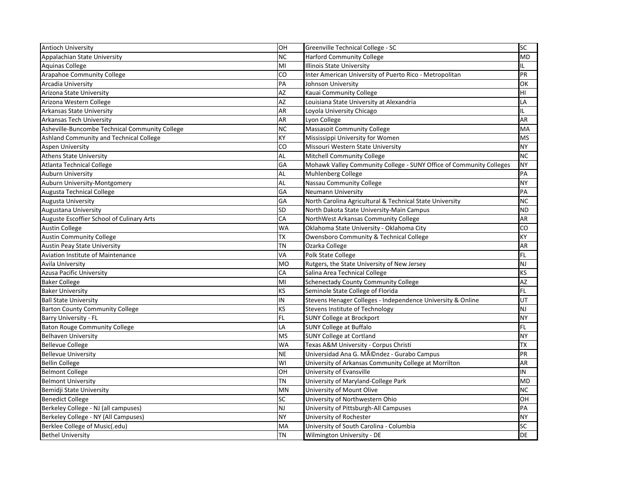| <b>Antioch University</b>                      | OH        | Greenville Technical College - SC                                   | <b>SC</b> |
|------------------------------------------------|-----------|---------------------------------------------------------------------|-----------|
| Appalachian State University                   | <b>NC</b> | <b>Harford Community College</b>                                    | MD        |
| <b>Aquinas College</b>                         | MI        | <b>Illinois State University</b>                                    | IL        |
| <b>Arapahoe Community College</b>              | CO        | Inter American University of Puerto Rico - Metropolitan             | PR        |
| <b>Arcadia University</b>                      | PA        | Johnson University                                                  | OK        |
| <b>Arizona State University</b>                | AZ        | Kauai Community College                                             | HI        |
| Arizona Western College                        | <b>AZ</b> | Louisiana State University at Alexandria                            | LΑ        |
| <b>Arkansas State University</b>               | <b>AR</b> | Loyola University Chicago                                           | IL        |
| Arkansas Tech University                       | <b>AR</b> | Lyon College                                                        | <b>AR</b> |
| Asheville-Buncombe Technical Community College | <b>NC</b> | <b>Massasoit Community College</b>                                  | MA        |
| Ashland Community and Technical College        | <b>KY</b> | Mississippi University for Women                                    | <b>MS</b> |
| <b>Aspen University</b>                        | CO        | Missouri Western State University                                   | <b>NY</b> |
| <b>Athens State University</b>                 | <b>AL</b> | Mitchell Community College                                          | <b>NC</b> |
| Atlanta Technical College                      | GA        | Mohawk Valley Community College - SUNY Office of Community Colleges | <b>NY</b> |
| <b>Auburn University</b>                       | <b>AL</b> | Muhlenberg College                                                  | PA        |
| Auburn University-Montgomery                   | <b>AL</b> | Nassau Community College                                            | <b>NY</b> |
| <b>Augusta Technical College</b>               | GA        | <b>Neumann University</b>                                           | PA        |
| <b>Augusta University</b>                      | GA        | North Carolina Agricultural & Technical State University            | <b>NC</b> |
| Augustana University                           | <b>SD</b> | North Dakota State University-Main Campus                           | <b>ND</b> |
| Auguste Escoffier School of Culinary Arts      | CA        | NorthWest Arkansas Community College                                | AR        |
| <b>Austin College</b>                          | <b>WA</b> | Oklahoma State University - Oklahoma City                           | CO        |
| <b>Austin Community College</b>                | <b>TX</b> | Owensboro Community & Technical College                             | KY        |
| <b>Austin Peay State University</b>            | <b>TN</b> | Ozarka College                                                      | <b>AR</b> |
| <b>Aviation Institute of Maintenance</b>       | VA        | Polk State College                                                  | <b>FL</b> |
| <b>Avila University</b>                        | <b>MO</b> | Rutgers, the State University of New Jersey                         | <b>NJ</b> |
| <b>Azusa Pacific University</b>                | CA        | Salina Area Technical College                                       | <b>KS</b> |
| <b>Baker College</b>                           | MI        | <b>Schenectady County Community College</b>                         | AZ        |
| <b>Baker University</b>                        | <b>KS</b> | Seminole State College of Florida                                   | FL.       |
| <b>Ball State University</b>                   | IN        | Stevens Henager Colleges - Independence University & Online         | UT        |
| <b>Barton County Community College</b>         | <b>KS</b> | Stevens Institute of Technology                                     | NJ        |
| <b>Barry University - FL</b>                   | <b>FL</b> | <b>SUNY College at Brockport</b>                                    | <b>NY</b> |
| Baton Rouge Community College                  | LA        | <b>SUNY College at Buffalo</b>                                      | FL.       |
| <b>Belhaven University</b>                     | <b>MS</b> | <b>SUNY College at Cortland</b>                                     | <b>NY</b> |
| <b>Bellevue College</b>                        | <b>WA</b> | Texas A&M University - Corpus Christi                               | <b>TX</b> |
| <b>Bellevue University</b>                     | <b>NE</b> | Universidad Ana G. Méndez - Gurabo Campus                           | PR        |
| <b>Bellin College</b>                          | WI        | University of Arkansas Community College at Morrilton               | <b>AR</b> |
| <b>Belmont College</b>                         | <b>OH</b> | University of Evansville                                            | IN        |
| <b>Belmont University</b>                      | <b>TN</b> | University of Maryland-College Park                                 | MD        |
| Bemidji State University                       | <b>MN</b> | University of Mount Olive                                           | <b>NC</b> |
| <b>Benedict College</b>                        | <b>SC</b> | University of Northwestern Ohio                                     | OH        |
| Berkeley College - NJ (all campuses)           | <b>NJ</b> | University of Pittsburgh-All Campuses                               | PA        |
| Berkeley College - NY (All Campuses)           | <b>NY</b> | University of Rochester                                             | <b>NY</b> |
| Berklee College of Music(.edu)                 | MA        | University of South Carolina - Columbia                             | <b>SC</b> |
| <b>Bethel University</b>                       | <b>TN</b> | Wilmington University - DE                                          | <b>DE</b> |
|                                                |           |                                                                     |           |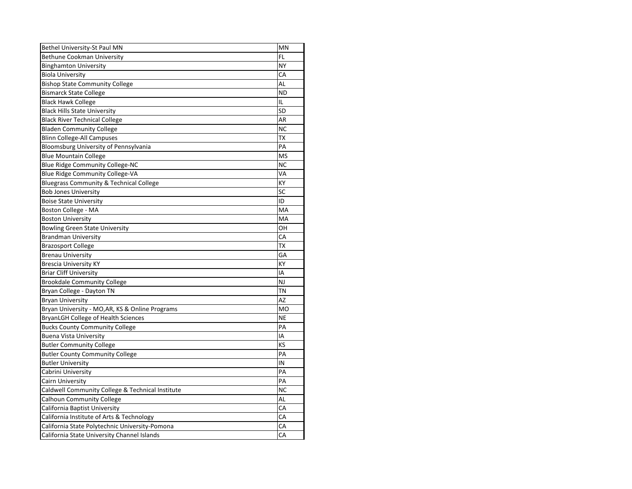| Bethel University-St Paul MN                       | <b>MN</b> |
|----------------------------------------------------|-----------|
| <b>Bethune Cookman University</b>                  | <b>FL</b> |
| <b>Binghamton University</b>                       | <b>NY</b> |
| <b>Biola University</b>                            | CA        |
| <b>Bishop State Community College</b>              | <b>AL</b> |
| <b>Bismarck State College</b>                      | <b>ND</b> |
| <b>Black Hawk College</b>                          | IL        |
| <b>Black Hills State University</b>                | SD        |
| <b>Black River Technical College</b>               | AR        |
| <b>Bladen Community College</b>                    | <b>NC</b> |
| <b>Blinn College-All Campuses</b>                  | <b>TX</b> |
| Bloomsburg University of Pennsylvania              | PA        |
| <b>Blue Mountain College</b>                       | <b>MS</b> |
| <b>Blue Ridge Community College-NC</b>             | <b>NC</b> |
| <b>Blue Ridge Community College-VA</b>             | VA        |
| <b>Bluegrass Community &amp; Technical College</b> | KY        |
| <b>Bob Jones University</b>                        | SC        |
| <b>Boise State University</b>                      | ID        |
| Boston College - MA                                | MA        |
| <b>Boston University</b>                           | MA        |
| <b>Bowling Green State University</b>              | OH        |
| <b>Brandman University</b>                         | CA        |
| <b>Brazosport College</b>                          | TX        |
| <b>Brenau University</b>                           | GA        |
| <b>Brescia University KY</b>                       | KY        |
| <b>Briar Cliff University</b>                      | IA        |
| <b>Brookdale Community College</b>                 | <b>NJ</b> |
| Bryan College - Dayton TN                          | <b>TN</b> |
| <b>Bryan University</b>                            | <b>AZ</b> |
| Bryan University - MO, AR, KS & Online Programs    | <b>MO</b> |
| <b>BryanLGH College of Health Sciences</b>         | <b>NE</b> |
| <b>Bucks County Community College</b>              | PA        |
| <b>Buena Vista University</b>                      | ΙA        |
| <b>Butler Community College</b>                    | KS        |
| <b>Butler County Community College</b>             | PA        |
| <b>Butler University</b>                           | IN        |
| Cabrini University                                 | PA        |
| <b>Cairn University</b>                            | PA        |
| Caldwell Community College & Technical Institute   | <b>NC</b> |
| <b>Calhoun Community College</b>                   | AL        |
| California Baptist University                      | CA        |
| California Institute of Arts & Technology          | CA        |
| California State Polytechnic University-Pomona     | CA        |
| California State University Channel Islands        | CA        |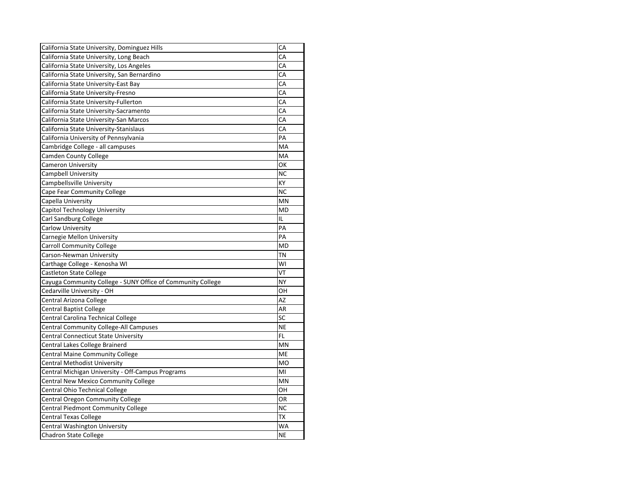| California State University, Dominguez Hills                | CA        |
|-------------------------------------------------------------|-----------|
| California State University, Long Beach                     | CA        |
| California State University, Los Angeles                    | CA        |
| California State University, San Bernardino                 | CA        |
| California State University-East Bay                        | CA        |
| California State University-Fresno                          | CA        |
| California State University-Fullerton                       | CA        |
| California State University-Sacramento                      | CA        |
| California State University-San Marcos                      | CA        |
| California State University-Stanislaus                      | CA        |
| California University of Pennsylvania                       | PA        |
| Cambridge College - all campuses                            | MA        |
| <b>Camden County College</b>                                | MA        |
| <b>Cameron University</b>                                   | OK        |
| <b>Campbell University</b>                                  | <b>NC</b> |
| Campbellsville University                                   | KY        |
| Cape Fear Community College                                 | <b>NC</b> |
| Capella University                                          | <b>MN</b> |
| Capitol Technology University                               | <b>MD</b> |
| <b>Carl Sandburg College</b>                                | L         |
| <b>Carlow University</b>                                    | PA        |
| <b>Carnegie Mellon University</b>                           | PA        |
| <b>Carroll Community College</b>                            | <b>MD</b> |
| Carson-Newman University                                    | <b>TN</b> |
| Carthage College - Kenosha WI                               | WI        |
| <b>Castleton State College</b>                              | VT        |
| Cayuga Community College - SUNY Office of Community College | <b>NY</b> |
| Cedarville University - OH                                  | OН        |
| Central Arizona College                                     | <b>AZ</b> |
| <b>Central Baptist College</b>                              | <b>AR</b> |
| Central Carolina Technical College                          | SC        |
| Central Community College-All Campuses                      | <b>NE</b> |
| Central Connecticut State University                        | FL.       |
| Central Lakes College Brainerd                              | MN        |
| <b>Central Maine Community College</b>                      | ME        |
| <b>Central Methodist University</b>                         | <b>MO</b> |
| Central Michigan University - Off-Campus Programs           | MI        |
| <b>Central New Mexico Community College</b>                 | MN        |
| Central Ohio Technical College                              | OH        |
| <b>Central Oregon Community College</b>                     | OR        |
| <b>Central Piedmont Community College</b>                   | <b>NC</b> |
| <b>Central Texas College</b>                                | <b>TX</b> |
| Central Washington University                               | WA        |
| <b>Chadron State College</b>                                | <b>NE</b> |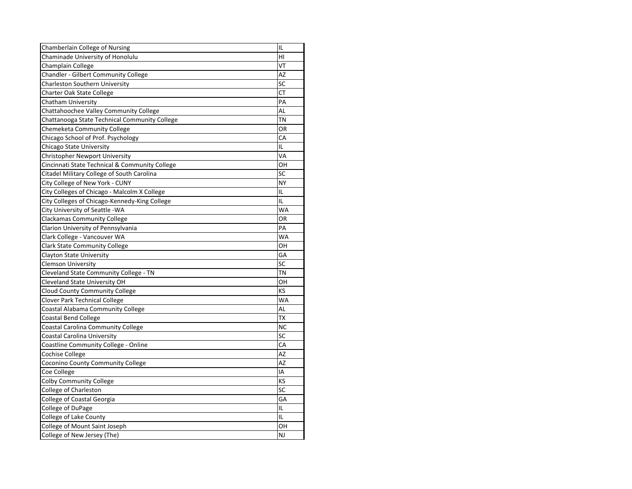| IL<br>Chamberlain College of Nursing<br>Chaminade University of Honolulu<br>HI<br>VT<br>Champlain College<br><b>Chandler - Gilbert Community College</b><br><b>AZ</b><br>SC<br><b>Charleston Southern University</b><br><b>Charter Oak State College</b><br>СT<br><b>Chatham University</b><br>PA |  |
|---------------------------------------------------------------------------------------------------------------------------------------------------------------------------------------------------------------------------------------------------------------------------------------------------|--|
|                                                                                                                                                                                                                                                                                                   |  |
|                                                                                                                                                                                                                                                                                                   |  |
|                                                                                                                                                                                                                                                                                                   |  |
|                                                                                                                                                                                                                                                                                                   |  |
|                                                                                                                                                                                                                                                                                                   |  |
|                                                                                                                                                                                                                                                                                                   |  |
|                                                                                                                                                                                                                                                                                                   |  |
| AL<br>Chattahoochee Valley Community College                                                                                                                                                                                                                                                      |  |
| <b>TN</b><br>Chattanooga State Technical Community College                                                                                                                                                                                                                                        |  |
| Chemeketa Community College<br><b>OR</b>                                                                                                                                                                                                                                                          |  |
| Chicago School of Prof. Psychology<br>CA                                                                                                                                                                                                                                                          |  |
| IL<br><b>Chicago State University</b>                                                                                                                                                                                                                                                             |  |
| VA<br><b>Christopher Newport University</b>                                                                                                                                                                                                                                                       |  |
| OH<br>Cincinnati State Technical & Community College                                                                                                                                                                                                                                              |  |
| SC<br>Citadel Military College of South Carolina                                                                                                                                                                                                                                                  |  |
| City College of New York - CUNY<br><b>NY</b>                                                                                                                                                                                                                                                      |  |
| City Colleges of Chicago - Malcolm X College<br>IL                                                                                                                                                                                                                                                |  |
| City Colleges of Chicago-Kennedy-King College<br>IL                                                                                                                                                                                                                                               |  |
| City University of Seattle -WA<br><b>WA</b>                                                                                                                                                                                                                                                       |  |
| OR<br><b>Clackamas Community College</b>                                                                                                                                                                                                                                                          |  |
| Clarion University of Pennsylvania<br>PA                                                                                                                                                                                                                                                          |  |
| Clark College - Vancouver WA<br>WA                                                                                                                                                                                                                                                                |  |
| <b>Clark State Community College</b><br>OH                                                                                                                                                                                                                                                        |  |
| GA<br><b>Clayton State University</b>                                                                                                                                                                                                                                                             |  |
| SC<br><b>Clemson University</b>                                                                                                                                                                                                                                                                   |  |
| Cleveland State Community College - TN<br><b>TN</b>                                                                                                                                                                                                                                               |  |
| <b>Cleveland State University OH</b><br>OН                                                                                                                                                                                                                                                        |  |
| KS<br><b>Cloud County Community College</b>                                                                                                                                                                                                                                                       |  |
| <b>WA</b><br><b>Clover Park Technical College</b>                                                                                                                                                                                                                                                 |  |
| AL<br>Coastal Alabama Community College                                                                                                                                                                                                                                                           |  |
| <b>Coastal Bend College</b><br>TX                                                                                                                                                                                                                                                                 |  |
| Coastal Carolina Community College<br><b>NC</b>                                                                                                                                                                                                                                                   |  |
| SC<br>Coastal Carolina University                                                                                                                                                                                                                                                                 |  |
| Coastline Community College - Online<br>CA                                                                                                                                                                                                                                                        |  |
| <b>Cochise College</b><br>AZ                                                                                                                                                                                                                                                                      |  |
| Coconino County Community College<br>AZ                                                                                                                                                                                                                                                           |  |
| IA<br>Coe College                                                                                                                                                                                                                                                                                 |  |
| <b>Colby Community College</b><br>KS                                                                                                                                                                                                                                                              |  |
| <b>College of Charleston</b><br>SC                                                                                                                                                                                                                                                                |  |
| College of Coastal Georgia<br>GA                                                                                                                                                                                                                                                                  |  |
| College of DuPage<br>IL                                                                                                                                                                                                                                                                           |  |
| College of Lake County<br>IL                                                                                                                                                                                                                                                                      |  |
| College of Mount Saint Joseph<br>OH                                                                                                                                                                                                                                                               |  |
| College of New Jersey (The)<br><b>NJ</b>                                                                                                                                                                                                                                                          |  |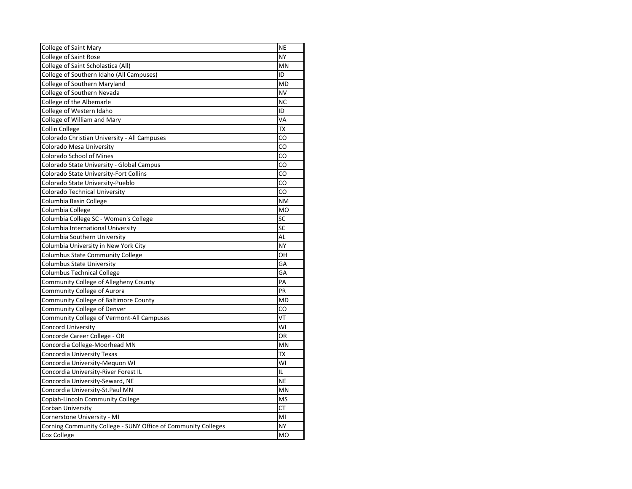| College of Saint Mary                                         | <b>NE</b> |
|---------------------------------------------------------------|-----------|
| <b>College of Saint Rose</b>                                  | <b>NY</b> |
| College of Saint Scholastica (All)                            | <b>MN</b> |
| College of Southern Idaho (All Campuses)                      | ID        |
| College of Southern Maryland                                  | <b>MD</b> |
| College of Southern Nevada                                    | <b>NV</b> |
| College of the Albemarle                                      | <b>NC</b> |
| College of Western Idaho                                      | ID        |
| College of William and Mary                                   | VA        |
| <b>Collin College</b>                                         | <b>TX</b> |
| Colorado Christian University - All Campuses                  | CO        |
| <b>Colorado Mesa University</b>                               | CO        |
| <b>Colorado School of Mines</b>                               | CO        |
| Colorado State University - Global Campus                     | CO        |
| Colorado State University-Fort Collins                        | CO        |
| Colorado State University-Pueblo                              | CO        |
| <b>Colorado Technical University</b>                          | CO        |
| Columbia Basin College                                        | <b>NM</b> |
| Columbia College                                              | <b>MO</b> |
| Columbia College SC - Women's College                         | SC        |
| Columbia International University                             | SC        |
| Columbia Southern University                                  | AL        |
| Columbia University in New York City                          | <b>NY</b> |
| <b>Columbus State Community College</b>                       | OH        |
| <b>Columbus State University</b>                              | GA        |
| <b>Columbus Technical College</b>                             | GA        |
| Community College of Allegheny County                         | PA        |
| <b>Community College of Aurora</b>                            | PR        |
| Community College of Baltimore County                         | <b>MD</b> |
| Community College of Denver                                   | CO        |
| <b>Community College of Vermont-All Campuses</b>              | VT        |
| Concord University                                            | WI        |
| Concorde Career College - OR                                  | OR        |
| Concordia College-Moorhead MN                                 | <b>MN</b> |
| Concordia University Texas                                    | TX        |
| Concordia University-Mequon WI                                | WI        |
| Concordia University-River Forest IL                          | IL        |
| Concordia University-Seward, NE                               | <b>NE</b> |
| Concordia University-St.Paul MN                               | MN        |
| Copiah-Lincoln Community College                              | <b>MS</b> |
| Corban University                                             | <b>CT</b> |
| Cornerstone University - MI                                   | MI        |
| Corning Community College - SUNY Office of Community Colleges | <b>NY</b> |
| Cox College                                                   | <b>MO</b> |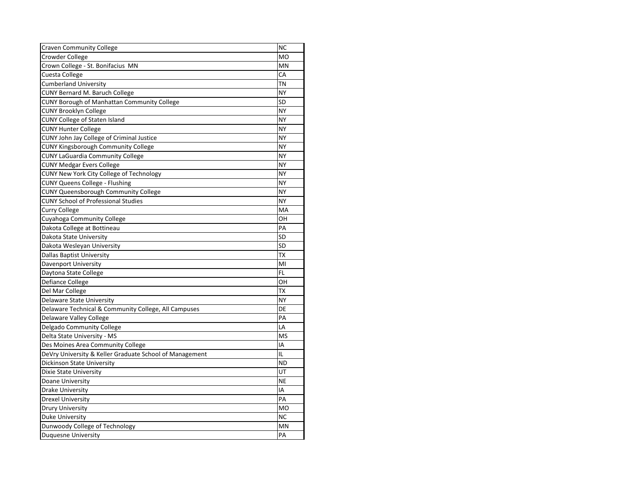| <b>Craven Community College</b>                         | <b>NC</b> |
|---------------------------------------------------------|-----------|
| Crowder College                                         | <b>MO</b> |
| Crown College - St. Bonifacius MN                       | <b>MN</b> |
| Cuesta College                                          | CA        |
| <b>Cumberland University</b>                            | <b>TN</b> |
| <b>CUNY Bernard M. Baruch College</b>                   | <b>NY</b> |
| <b>CUNY Borough of Manhattan Community College</b>      | SD        |
| <b>CUNY Brooklyn College</b>                            | <b>NY</b> |
| <b>CUNY College of Staten Island</b>                    | <b>NY</b> |
| <b>CUNY Hunter College</b>                              | <b>NY</b> |
| CUNY John Jay College of Criminal Justice               | <b>NY</b> |
| <b>CUNY Kingsborough Community College</b>              | <b>NY</b> |
| <b>CUNY LaGuardia Community College</b>                 | <b>NY</b> |
| <b>CUNY Medgar Evers College</b>                        | <b>NY</b> |
| <b>CUNY New York City College of Technology</b>         | <b>NY</b> |
| <b>CUNY Queens College - Flushing</b>                   | <b>NY</b> |
| <b>CUNY Queensborough Community College</b>             | <b>NY</b> |
| <b>CUNY School of Professional Studies</b>              | <b>NY</b> |
| <b>Curry College</b>                                    | MA        |
| Cuyahoga Community College                              | OH        |
| Dakota College at Bottineau                             | PA        |
| Dakota State University                                 | <b>SD</b> |
| Dakota Wesleyan University                              | <b>SD</b> |
| <b>Dallas Baptist University</b>                        | <b>TX</b> |
| Davenport University                                    | MI        |
| Daytona State College                                   | <b>FL</b> |
| Defiance College                                        | OН        |
| Del Mar College                                         | <b>TX</b> |
| Delaware State University                               | <b>NY</b> |
| Delaware Technical & Community College, All Campuses    | DE        |
| <b>Delaware Valley College</b>                          | PA        |
| Delgado Community College                               | LA        |
| Delta State University - MS                             | <b>MS</b> |
| Des Moines Area Community College                       | IA        |
| DeVry University & Keller Graduate School of Management | IL        |
| Dickinson State University                              | <b>ND</b> |
| Dixie State University                                  | UT        |
| Doane University                                        | <b>NE</b> |
| <b>Drake University</b>                                 | IA        |
| <b>Drexel University</b>                                | PA        |
| <b>Drury University</b>                                 | <b>MO</b> |
| Duke University                                         | <b>NC</b> |
| Dunwoody College of Technology                          | MN        |
| <b>Duquesne University</b>                              | PA        |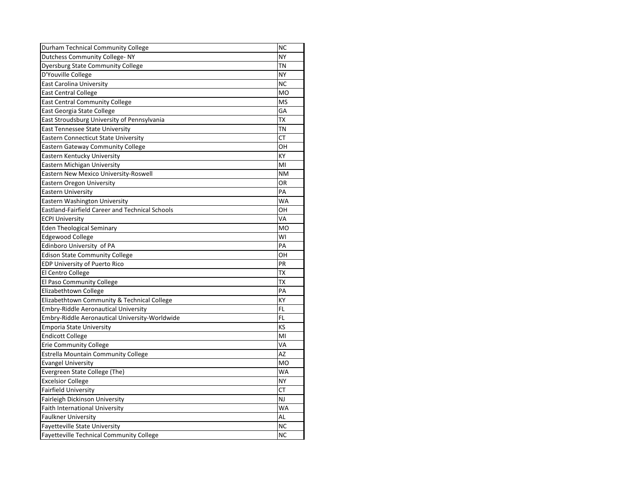| Durham Technical Community College                     | <b>NC</b> |
|--------------------------------------------------------|-----------|
| <b>Dutchess Community College-NY</b>                   | <b>NY</b> |
| <b>Dyersburg State Community College</b>               | <b>TN</b> |
| D'Youville College                                     | <b>NY</b> |
| <b>East Carolina University</b>                        | <b>NC</b> |
| <b>East Central College</b>                            | <b>MO</b> |
| <b>East Central Community College</b>                  | <b>MS</b> |
| East Georgia State College                             | GA        |
| East Stroudsburg University of Pennsylvania            | <b>TX</b> |
| <b>East Tennessee State University</b>                 | <b>TN</b> |
| <b>Eastern Connecticut State University</b>            | <b>CT</b> |
| <b>Eastern Gateway Community College</b>               | OH        |
| Eastern Kentucky University                            | KY        |
| Eastern Michigan University                            | MI        |
| Eastern New Mexico University-Roswell                  | <b>NM</b> |
| <b>Eastern Oregon University</b>                       | <b>OR</b> |
| <b>Eastern University</b>                              | PA        |
| Eastern Washington University                          | <b>WA</b> |
| <b>Eastland-Fairfield Career and Technical Schools</b> | OH        |
| <b>ECPI University</b>                                 | VA        |
| <b>Eden Theological Seminary</b>                       | <b>MO</b> |
| <b>Edgewood College</b>                                | WI        |
| Edinboro University of PA                              | PA        |
| <b>Edison State Community College</b>                  | OH        |
| EDP University of Puerto Rico                          | PR        |
| El Centro College                                      | <b>TX</b> |
| El Paso Community College                              | ТX        |
| Elizabethtown College                                  | PA        |
| Elizabethtown Community & Technical College            | <b>KY</b> |
| <b>Embry-Riddle Aeronautical University</b>            | <b>FL</b> |
| Embry-Riddle Aeronautical University-Worldwide         | <b>FL</b> |
| <b>Emporia State University</b>                        | KS        |
| <b>Endicott College</b>                                | MI        |
| <b>Erie Community College</b>                          | VA        |
| <b>Estrella Mountain Community College</b>             | ΑZ        |
| <b>Evangel University</b>                              | <b>MO</b> |
| Evergreen State College (The)                          | <b>WA</b> |
| <b>Excelsior College</b>                               | <b>NY</b> |
| <b>Fairfield University</b>                            | <b>CT</b> |
| Fairleigh Dickinson University                         | <b>NJ</b> |
| <b>Faith International University</b>                  | <b>WA</b> |
| <b>Faulkner University</b>                             | AL        |
| Fayetteville State University                          | <b>NC</b> |
| <b>Fayetteville Technical Community College</b>        | <b>NC</b> |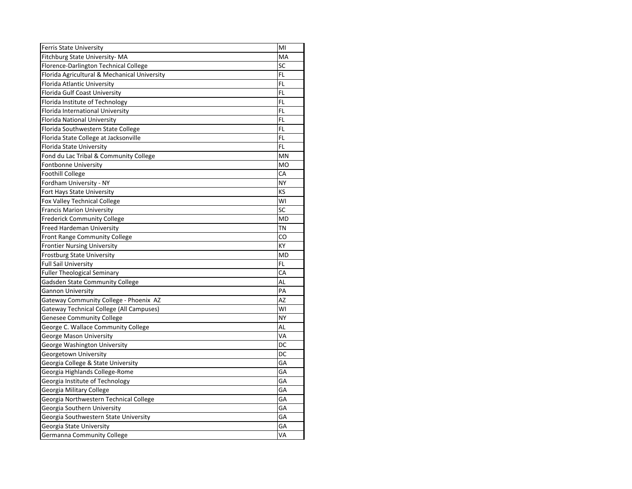| <b>Ferris State University</b>               | MI             |
|----------------------------------------------|----------------|
| Fitchburg State University-MA                | MA             |
| Florence-Darlington Technical College        | SC             |
| Florida Agricultural & Mechanical University | <b>FL</b>      |
| Florida Atlantic University                  | <b>FL</b>      |
| Florida Gulf Coast University                | <b>FL</b>      |
| Florida Institute of Technology              | <b>FL</b>      |
| Florida International University             | <b>FL</b>      |
| Florida National University                  | <b>FL</b>      |
| Florida Southwestern State College           | <b>FL</b>      |
| Florida State College at Jacksonville        | FL             |
| Florida State University                     | <b>FL</b>      |
| Fond du Lac Tribal & Community College       | MN             |
| <b>Fontbonne University</b>                  | M <sub>O</sub> |
| <b>Foothill College</b>                      | CA             |
| Fordham University - NY                      | <b>NY</b>      |
| Fort Hays State University                   | KS             |
| <b>Fox Valley Technical College</b>          | WI             |
| <b>Francis Marion University</b>             | SC             |
| <b>Frederick Community College</b>           | <b>MD</b>      |
| Freed Hardeman University                    | <b>TN</b>      |
| Front Range Community College                | CO             |
| <b>Frontier Nursing University</b>           | KY             |
| <b>Frostburg State University</b>            | <b>MD</b>      |
| <b>Full Sail University</b>                  | <b>FL</b>      |
| <b>Fuller Theological Seminary</b>           | CA             |
| Gadsden State Community College              | AL             |
| <b>Gannon University</b>                     | PA             |
| Gateway Community College - Phoenix AZ       | <b>AZ</b>      |
| Gateway Technical College (All Campuses)     | WI             |
| <b>Genesee Community College</b>             | <b>NY</b>      |
| George C. Wallace Community College          | AL             |
| <b>George Mason University</b>               | VA             |
| George Washington University                 | DC             |
| Georgetown University                        | DC             |
| Georgia College & State University           | GA             |
| Georgia Highlands College-Rome               | GA             |
| Georgia Institute of Technology              | GA             |
| Georgia Military College                     | GA             |
| Georgia Northwestern Technical College       | GA             |
| Georgia Southern University                  | GA             |
| Georgia Southwestern State University        | GA             |
| Georgia State University                     | GA             |
| Germanna Community College                   | VA             |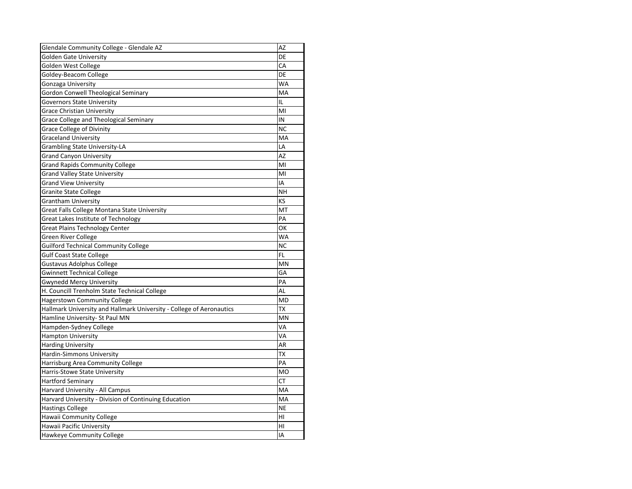| Glendale Community College - Glendale AZ                             | AΖ             |
|----------------------------------------------------------------------|----------------|
| <b>Golden Gate University</b>                                        | DE             |
| <b>Golden West College</b>                                           | CA             |
| Goldey-Beacom College                                                | DE             |
| Gonzaga University                                                   | <b>WA</b>      |
| <b>Gordon Conwell Theological Seminary</b>                           | MA             |
| <b>Governors State University</b>                                    | IL             |
| <b>Grace Christian University</b>                                    | MI             |
| <b>Grace College and Theological Seminary</b>                        | IN             |
| <b>Grace College of Divinity</b>                                     | <b>NC</b>      |
| <b>Graceland University</b>                                          | MA             |
| <b>Grambling State University-LA</b>                                 | LA             |
| <b>Grand Canyon University</b>                                       | <b>AZ</b>      |
| <b>Grand Rapids Community College</b>                                | MI             |
| <b>Grand Valley State University</b>                                 | M <sub>l</sub> |
| <b>Grand View University</b>                                         | ΙA             |
| <b>Granite State College</b>                                         | NΗ             |
| <b>Grantham University</b>                                           | KS             |
| Great Falls College Montana State University                         | MT             |
| <b>Great Lakes Institute of Technology</b>                           | PA             |
| <b>Great Plains Technology Center</b>                                | ОΚ             |
| <b>Green River College</b>                                           | <b>WA</b>      |
| <b>Guilford Technical Community College</b>                          | <b>NC</b>      |
| <b>Gulf Coast State College</b>                                      | <b>FL</b>      |
| <b>Gustavus Adolphus College</b>                                     | <b>MN</b>      |
| <b>Gwinnett Technical College</b>                                    | GA             |
| <b>Gwynedd Mercy University</b>                                      | PA             |
| H. Councill Trenholm State Technical College                         | AL             |
| <b>Hagerstown Community College</b>                                  | <b>MD</b>      |
| Hallmark University and Hallmark University - College of Aeronautics | ТX             |
| Hamline University- St Paul MN                                       | MN             |
| Hampden-Sydney College                                               | VA             |
| <b>Hampton University</b>                                            | VA             |
| <b>Harding University</b>                                            | AR             |
| Hardin-Simmons University                                            | TХ             |
| Harrisburg Area Community College                                    | PA             |
| Harris-Stowe State University                                        | <b>MO</b>      |
| <b>Hartford Seminary</b>                                             | СT             |
| Harvard University - All Campus                                      | MA             |
| Harvard University - Division of Continuing Education                | MA             |
| <b>Hastings College</b>                                              | <b>NE</b>      |
| Hawaii Community College                                             | HI             |
| Hawaii Pacific University                                            | HI             |
| Hawkeye Community College                                            | IA             |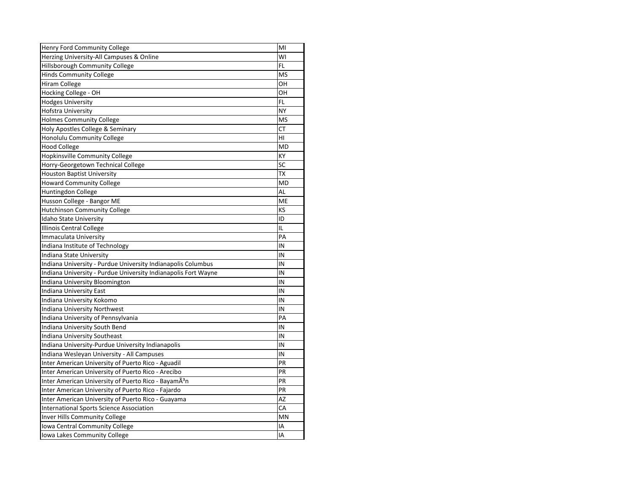| Henry Ford Community College                                     | MI        |
|------------------------------------------------------------------|-----------|
| Herzing University-All Campuses & Online                         | WI        |
| Hillsborough Community College                                   | FL        |
| <b>Hinds Community College</b>                                   | <b>MS</b> |
| <b>Hiram College</b>                                             | OH        |
| Hocking College - OH                                             | OН        |
| <b>Hodges University</b>                                         | <b>FL</b> |
| <b>Hofstra University</b>                                        | <b>NY</b> |
| <b>Holmes Community College</b>                                  | <b>MS</b> |
| Holy Apostles College & Seminary                                 | <b>CT</b> |
| Honolulu Community College                                       | HI        |
| <b>Hood College</b>                                              | <b>MD</b> |
| <b>Hopkinsville Community College</b>                            | KY        |
| Horry-Georgetown Technical College                               | SC        |
| <b>Houston Baptist University</b>                                | <b>TX</b> |
| <b>Howard Community College</b>                                  | <b>MD</b> |
| Huntingdon College                                               | <b>AL</b> |
| Husson College - Bangor ME                                       | <b>ME</b> |
| <b>Hutchinson Community College</b>                              | KS        |
| Idaho State University                                           | ID        |
| Illinois Central College                                         | IL        |
| Immaculata University                                            | PA        |
| Indiana Institute of Technology                                  | IN        |
| Indiana State University                                         | IN        |
| Indiana University - Purdue University Indianapolis Columbus     | IN        |
| Indiana University - Purdue University Indianapolis Fort Wayne   | IN        |
| Indiana University Bloomington                                   | IN        |
| Indiana University East                                          | IN        |
| Indiana University Kokomo                                        | IN        |
| <b>Indiana University Northwest</b>                              | IN        |
| Indiana University of Pennsylvania                               | PA        |
| Indiana University South Bend                                    | IN        |
| Indiana University Southeast                                     | IN        |
| Indiana University-Purdue University Indianapolis                | IN        |
| Indiana Wesleyan University - All Campuses                       | IN        |
| Inter American University of Puerto Rico - Aguadil               | PR        |
| Inter American University of Puerto Rico - Arecibo               | PR        |
| Inter American University of Puerto Rico - BayamÃ <sup>3</sup> n | PR        |
| Inter American University of Puerto Rico - Fajardo               | PR        |
| Inter American University of Puerto Rico - Guayama               | AZ        |
| <b>International Sports Science Association</b>                  | CA        |
| Inver Hills Community College                                    | MN        |
| Iowa Central Community College                                   | ΙA        |
| Iowa Lakes Community College                                     | IA        |
|                                                                  |           |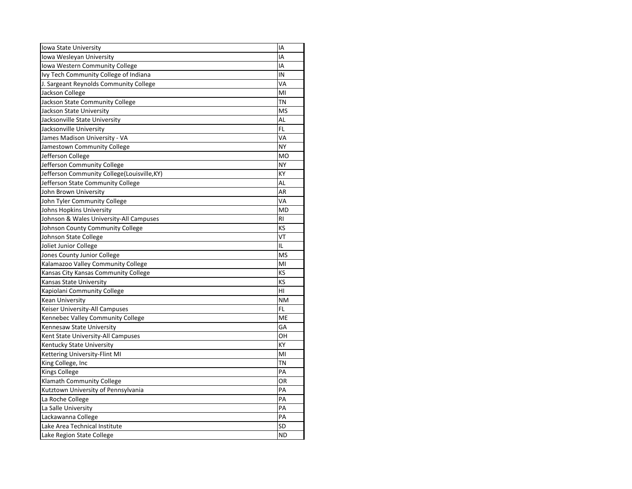| Iowa State University                       | IA             |
|---------------------------------------------|----------------|
| Iowa Wesleyan University                    | IA             |
| Iowa Western Community College              | IA             |
| Ivy Tech Community College of Indiana       | IN             |
| J. Sargeant Reynolds Community College      | VA             |
| Jackson College                             | MI             |
| Jackson State Community College             | <b>TN</b>      |
| Jackson State University                    | <b>MS</b>      |
| Jacksonville State University               | <b>AL</b>      |
| Jacksonville University                     | FL             |
| James Madison University - VA               | VA             |
| Jamestown Community College                 | <b>NY</b>      |
| Jefferson College                           | <b>MO</b>      |
| Jefferson Community College                 | <b>NY</b>      |
| Jefferson Community College(Louisville, KY) | KY             |
| Jefferson State Community College           | AL             |
| John Brown University                       | <b>AR</b>      |
| John Tyler Community College                | VA             |
| Johns Hopkins University                    | <b>MD</b>      |
| Johnson & Wales University-All Campuses     | R <sub>l</sub> |
| Johnson County Community College            | KS             |
| Johnson State College                       | VT             |
| Joliet Junior College                       | IL             |
| Jones County Junior College                 | <b>MS</b>      |
| Kalamazoo Valley Community College          | MI             |
| Kansas City Kansas Community College        | KS             |
| <b>Kansas State University</b>              | KS             |
| Kapiolani Community College                 | HI             |
| Kean University                             | <b>NM</b>      |
| Keiser University-All Campuses              | <b>FL</b>      |
| Kennebec Valley Community College           | ME             |
| Kennesaw State University                   | GA             |
| Kent State University-All Campuses          | OН             |
| Kentucky State University                   | KY             |
| Kettering University-Flint MI               | MI             |
| King College, Inc                           | TN             |
| <b>Kings College</b>                        | PA             |
| Klamath Community College                   | OR             |
| Kutztown University of Pennsylvania         | PA             |
| La Roche College                            | PA             |
| La Salle University                         | PA             |
| Lackawanna College                          | PA             |
| Lake Area Technical Institute               | SD             |
| Lake Region State College                   | <b>ND</b>      |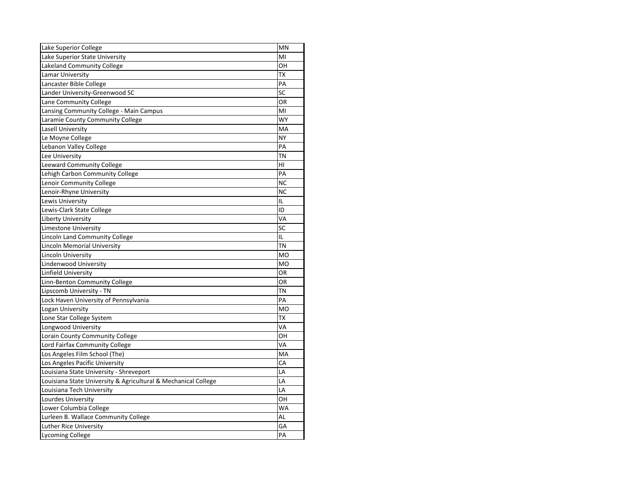| Lake Superior College                                          | <b>MN</b>      |
|----------------------------------------------------------------|----------------|
| Lake Superior State University                                 | M <sub>l</sub> |
| Lakeland Community College                                     | OH             |
| Lamar University                                               | <b>TX</b>      |
| Lancaster Bible College                                        | PA             |
| Lander University-Greenwood SC                                 | SC             |
| Lane Community College                                         | OR             |
| Lansing Community College - Main Campus                        | MI             |
| Laramie County Community College                               | <b>WY</b>      |
| Lasell University                                              | MA             |
| Le Moyne College                                               | <b>NY</b>      |
| Lebanon Valley College                                         | PA             |
| Lee University                                                 | <b>TN</b>      |
| Leeward Community College                                      | HI             |
| Lehigh Carbon Community College                                | PA             |
| Lenoir Community College                                       | <b>NC</b>      |
| Lenoir-Rhyne University                                        | <b>NC</b>      |
| Lewis University                                               | IL             |
| Lewis-Clark State College                                      | ID             |
| <b>Liberty University</b>                                      | VA             |
| <b>Limestone University</b>                                    | <b>SC</b>      |
| Lincoln Land Community College                                 | IL             |
| <b>Lincoln Memorial University</b>                             | <b>TN</b>      |
| Lincoln University                                             | <b>MO</b>      |
| Lindenwood University                                          | <b>MO</b>      |
| Linfield University                                            | <b>OR</b>      |
| Linn-Benton Community College                                  | OR             |
| Lipscomb University - TN                                       | <b>TN</b>      |
| Lock Haven University of Pennsylvania                          | PA             |
| Logan University                                               | <b>MO</b>      |
| Lone Star College System                                       | TХ             |
| Longwood University                                            | VA             |
| Lorain County Community College                                | OH             |
| Lord Fairfax Community College                                 | VA             |
| Los Angeles Film School (The)                                  | МA             |
| Los Angeles Pacific University                                 | CA             |
| Louisiana State University - Shreveport                        | LA             |
| Louisiana State University & Agricultural & Mechanical College | LA             |
| Louisiana Tech University                                      | LA             |
| Lourdes University                                             | OH             |
| Lower Columbia College                                         | WA             |
| Lurleen B. Wallace Community College                           | <b>AL</b>      |
| Luther Rice University                                         | GA             |
| Lycoming College                                               | PA             |
|                                                                |                |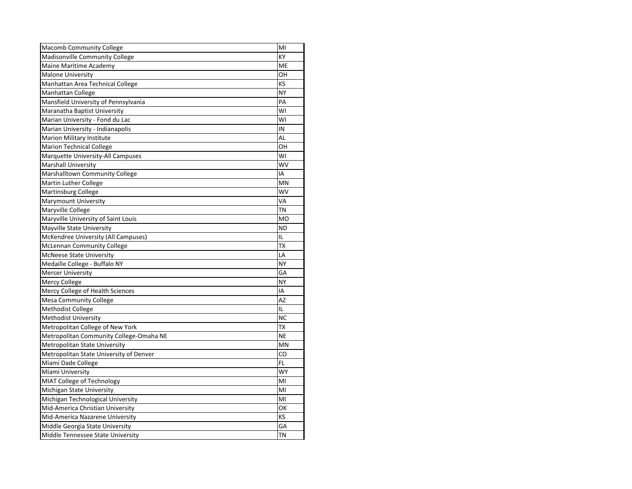| <b>Macomb Community College</b>         | MI        |
|-----------------------------------------|-----------|
| Madisonville Community College          | <b>KY</b> |
| Maine Maritime Academy                  | ME        |
| <b>Malone University</b>                | OH        |
| Manhattan Area Technical College        | KS        |
| <b>Manhattan College</b>                | <b>NY</b> |
| Mansfield University of Pennsylvania    | PA        |
| Maranatha Baptist University            | WI        |
| Marian University - Fond du Lac         | WI        |
| Marian University - Indianapolis        | IN        |
| <b>Marion Military Institute</b>        | <b>AL</b> |
| <b>Marion Technical College</b>         | OH        |
| Marquette University-All Campuses       | WI        |
| <b>Marshall University</b>              | WV        |
| <b>Marshalltown Community College</b>   | IA        |
| Martin Luther College                   | MN        |
| <b>Martinsburg College</b>              | WV        |
| <b>Marymount University</b>             | VA        |
| Maryville College                       | <b>TN</b> |
| Maryville University of Saint Louis     | <b>MO</b> |
| <b>Mayville State University</b>        | <b>ND</b> |
| McKendree University (All Campuses)     | IL        |
| <b>McLennan Community College</b>       | <b>TX</b> |
| <b>McNeese State University</b>         | LA        |
| Medaille College - Buffalo NY           | <b>NY</b> |
| <b>Mercer University</b>                | GA        |
| <b>Mercy College</b>                    | <b>NY</b> |
| Mercy College of Health Sciences        | ΙA        |
| <b>Mesa Community College</b>           | AZ        |
| <b>Methodist College</b>                | IL        |
| <b>Methodist University</b>             | <b>NC</b> |
| Metropolitan College of New York        | ТX        |
| Metropolitan Community College-Omaha NE | <b>NE</b> |
| Metropolitan State University           | ΜN        |
| Metropolitan State University of Denver | CO        |
| Miami Dade College                      | FL        |
| Miami University                        | <b>WY</b> |
| MIAT College of Technology              | MI        |
| Michigan State University               | MI        |
| Michigan Technological University       | MI        |
| Mid-America Christian University        | OK        |
| Mid-America Nazarene University         | KS        |
| Middle Georgia State University         | GA        |
| Middle Tennessee State University       | ΤN        |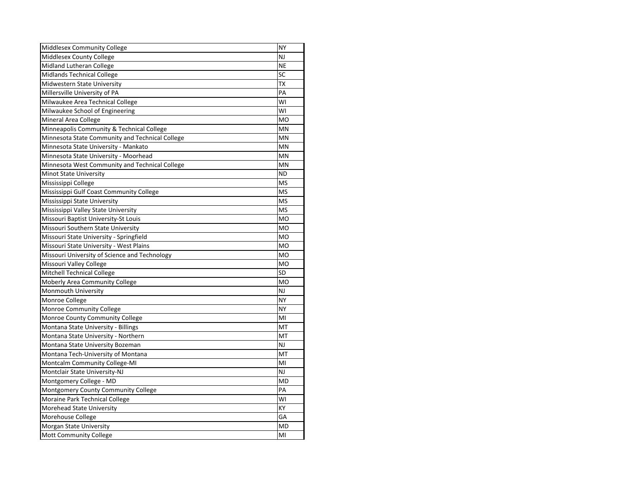| Middlesex Community College                     | <b>NY</b>      |
|-------------------------------------------------|----------------|
| Middlesex County College                        | NJ             |
| Midland Lutheran College                        | <b>NE</b>      |
| Midlands Technical College                      | SC             |
| Midwestern State University                     | <b>TX</b>      |
| Millersville University of PA                   | PA             |
| Milwaukee Area Technical College                | WI             |
| Milwaukee School of Engineering                 | WI             |
| <b>Mineral Area College</b>                     | M <sub>O</sub> |
| Minneapolis Community & Technical College       | MN             |
| Minnesota State Community and Technical College | MN             |
| Minnesota State University - Mankato            | MN             |
| Minnesota State University - Moorhead           | MN             |
| Minnesota West Community and Technical College  | MN             |
| <b>Minot State University</b>                   | <b>ND</b>      |
| Mississippi College                             | <b>MS</b>      |
| Mississippi Gulf Coast Community College        | <b>MS</b>      |
| Mississippi State University                    | <b>MS</b>      |
| Mississippi Valley State University             | <b>MS</b>      |
| Missouri Baptist University-St Louis            | <b>MO</b>      |
| Missouri Southern State University              | <b>MO</b>      |
| Missouri State University - Springfield         | <b>MO</b>      |
| Missouri State University - West Plains         | <b>MO</b>      |
| Missouri University of Science and Technology   | <b>MO</b>      |
| Missouri Valley College                         | <b>MO</b>      |
| Mitchell Technical College                      | <b>SD</b>      |
| <b>Moberly Area Community College</b>           | M <sub>O</sub> |
| Monmouth University                             | NJ             |
| Monroe College                                  | <b>NY</b>      |
| Monroe Community College                        | <b>NY</b>      |
| Monroe County Community College                 | MI             |
| Montana State University - Billings             | MT             |
| Montana State University - Northern             | MT             |
| Montana State University Bozeman                | $\mathsf{NJ}$  |
| Montana Tech-University of Montana              | MT             |
| Montcalm Community College-MI                   | MI             |
| Montclair State University-NJ                   | NJ             |
| Montgomery College - MD                         | <b>MD</b>      |
| Montgomery County Community College             | PA             |
| Moraine Park Technical College                  | WI             |
| Morehead State University                       | <b>KY</b>      |
| Morehouse College                               | GA             |
| Morgan State University                         | <b>MD</b>      |
| Mott Community College                          | MI             |
|                                                 |                |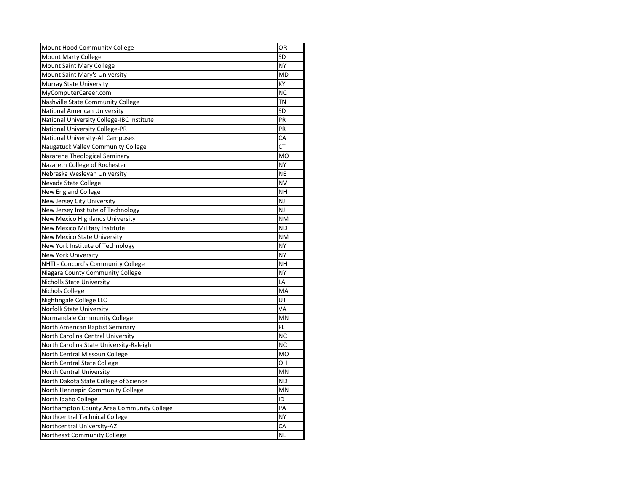| Mount Hood Community College              | <b>OR</b>      |
|-------------------------------------------|----------------|
| <b>Mount Marty College</b>                | <b>SD</b>      |
| <b>Mount Saint Mary College</b>           | <b>NY</b>      |
| Mount Saint Mary's University             | <b>MD</b>      |
| <b>Murray State University</b>            | KY             |
| MyComputerCareer.com                      | <b>NC</b>      |
| Nashville State Community College         | ΤN             |
| <b>National American University</b>       | <b>SD</b>      |
| National University College-IBC Institute | PR             |
| <b>National University College-PR</b>     | PR             |
| <b>National University-All Campuses</b>   | CA             |
| Naugatuck Valley Community College        | <b>CT</b>      |
| Nazarene Theological Seminary             | <b>MO</b>      |
| Nazareth College of Rochester             | <b>NY</b>      |
| Nebraska Wesleyan University              | <b>NE</b>      |
| Nevada State College                      | <b>NV</b>      |
| New England College                       | NΗ             |
| New Jersey City University                | NJ             |
| New Jersey Institute of Technology        | NJ             |
| New Mexico Highlands University           | <b>NM</b>      |
| New Mexico Military Institute             | <b>ND</b>      |
| <b>New Mexico State University</b>        | <b>NM</b>      |
| New York Institute of Technology          | <b>NY</b>      |
| <b>New York University</b>                | <b>NY</b>      |
| NHTI - Concord's Community College        | <b>NH</b>      |
| Niagara County Community College          | <b>NY</b>      |
| <b>Nicholls State University</b>          | LA             |
| Nichols College                           | MA             |
| Nightingale College LLC                   | UT             |
| <b>Norfolk State University</b>           | VA             |
| Normandale Community College              | MN             |
| North American Baptist Seminary           | FL             |
| North Carolina Central University         | <b>NC</b>      |
| North Carolina State University-Raleigh   | <b>NC</b>      |
| North Central Missouri College            | M <sub>O</sub> |
| North Central State College               | OH             |
| North Central University                  | MN             |
| North Dakota State College of Science     | <b>ND</b>      |
| North Hennepin Community College          | MN             |
| North Idaho College                       | ID             |
| Northampton County Area Community College | PA             |
| Northcentral Technical College            | <b>NY</b>      |
| Northcentral University-AZ                | CA             |
| Northeast Community College               | <b>NE</b>      |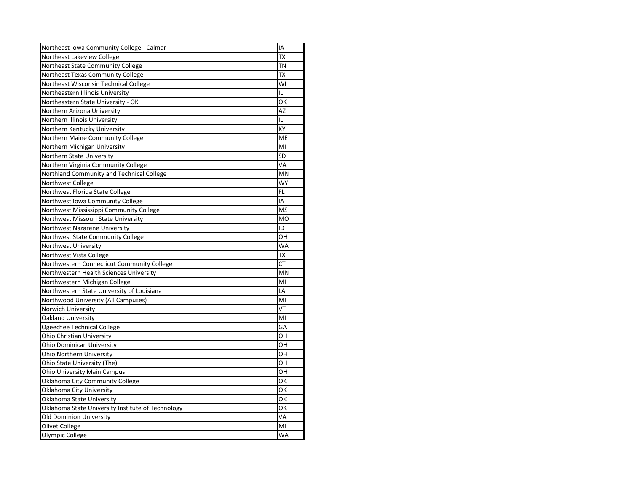| Northeast Lakeview College<br>Northeast State Community College<br>Northeast Texas Community College<br>Northeast Wisconsin Technical College<br>Northeastern Illinois University<br>IL<br>Northeastern State University - OK<br>Northern Arizona University<br>IL<br>Northern Illinois University<br>Northern Kentucky University<br>Northern Maine Community College<br>Northern Michigan University | <b>TX</b><br><b>TN</b><br><b>TX</b><br>WI<br>OK<br><b>AZ</b> |
|--------------------------------------------------------------------------------------------------------------------------------------------------------------------------------------------------------------------------------------------------------------------------------------------------------------------------------------------------------------------------------------------------------|--------------------------------------------------------------|
|                                                                                                                                                                                                                                                                                                                                                                                                        |                                                              |
|                                                                                                                                                                                                                                                                                                                                                                                                        |                                                              |
|                                                                                                                                                                                                                                                                                                                                                                                                        |                                                              |
|                                                                                                                                                                                                                                                                                                                                                                                                        |                                                              |
|                                                                                                                                                                                                                                                                                                                                                                                                        |                                                              |
|                                                                                                                                                                                                                                                                                                                                                                                                        |                                                              |
|                                                                                                                                                                                                                                                                                                                                                                                                        |                                                              |
|                                                                                                                                                                                                                                                                                                                                                                                                        |                                                              |
|                                                                                                                                                                                                                                                                                                                                                                                                        | KY                                                           |
|                                                                                                                                                                                                                                                                                                                                                                                                        | <b>ME</b>                                                    |
|                                                                                                                                                                                                                                                                                                                                                                                                        | MI                                                           |
| Northern State University                                                                                                                                                                                                                                                                                                                                                                              | <b>SD</b>                                                    |
| Northern Virginia Community College                                                                                                                                                                                                                                                                                                                                                                    | VA                                                           |
| Northland Community and Technical College                                                                                                                                                                                                                                                                                                                                                              | <b>MN</b>                                                    |
| Northwest College                                                                                                                                                                                                                                                                                                                                                                                      | <b>WY</b>                                                    |
| Northwest Florida State College<br><b>FL</b>                                                                                                                                                                                                                                                                                                                                                           |                                                              |
| Northwest Iowa Community College<br>IA                                                                                                                                                                                                                                                                                                                                                                 |                                                              |
| Northwest Mississippi Community College                                                                                                                                                                                                                                                                                                                                                                | <b>MS</b>                                                    |
| Northwest Missouri State University                                                                                                                                                                                                                                                                                                                                                                    | <b>MO</b>                                                    |
| Northwest Nazarene University<br>ID                                                                                                                                                                                                                                                                                                                                                                    |                                                              |
| Northwest State Community College                                                                                                                                                                                                                                                                                                                                                                      | OH                                                           |
| Northwest University                                                                                                                                                                                                                                                                                                                                                                                   | <b>WA</b>                                                    |
| Northwest Vista College                                                                                                                                                                                                                                                                                                                                                                                | <b>TX</b>                                                    |
| Northwestern Connecticut Community College                                                                                                                                                                                                                                                                                                                                                             | <b>CT</b>                                                    |
| Northwestern Health Sciences University                                                                                                                                                                                                                                                                                                                                                                | <b>MN</b>                                                    |
| Northwestern Michigan College                                                                                                                                                                                                                                                                                                                                                                          | MI                                                           |
| Northwestern State University of Louisiana                                                                                                                                                                                                                                                                                                                                                             | LA                                                           |
| Northwood University (All Campuses)                                                                                                                                                                                                                                                                                                                                                                    | MI                                                           |
| Norwich University                                                                                                                                                                                                                                                                                                                                                                                     | VT                                                           |
| Oakland University                                                                                                                                                                                                                                                                                                                                                                                     | MI                                                           |
| Ogeechee Technical College                                                                                                                                                                                                                                                                                                                                                                             | GA                                                           |
| Ohio Christian University                                                                                                                                                                                                                                                                                                                                                                              | OH                                                           |
| <b>Ohio Dominican University</b>                                                                                                                                                                                                                                                                                                                                                                       | OH                                                           |
| Ohio Northern University                                                                                                                                                                                                                                                                                                                                                                               | OH                                                           |
| Ohio State University (The)                                                                                                                                                                                                                                                                                                                                                                            | OH                                                           |
| <b>Ohio University Main Campus</b>                                                                                                                                                                                                                                                                                                                                                                     | OH                                                           |
| Oklahoma City Community College                                                                                                                                                                                                                                                                                                                                                                        | OK                                                           |
| Oklahoma City University                                                                                                                                                                                                                                                                                                                                                                               | OK                                                           |
| Oklahoma State University                                                                                                                                                                                                                                                                                                                                                                              | OK                                                           |
|                                                                                                                                                                                                                                                                                                                                                                                                        | OK                                                           |
| Oklahoma State University Institute of Technology                                                                                                                                                                                                                                                                                                                                                      |                                                              |
| <b>Old Dominion University</b>                                                                                                                                                                                                                                                                                                                                                                         | VA                                                           |
| <b>Olivet College</b>                                                                                                                                                                                                                                                                                                                                                                                  | MI                                                           |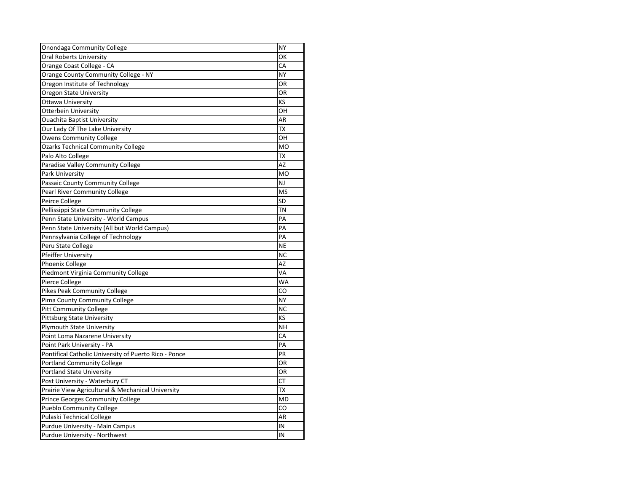| <b>Onondaga Community College</b>                     | <b>NY</b> |
|-------------------------------------------------------|-----------|
| <b>Oral Roberts University</b>                        | OK        |
| Orange Coast College - CA                             | CA        |
| Orange County Community College - NY                  | <b>NY</b> |
| Oregon Institute of Technology                        | <b>OR</b> |
| <b>Oregon State University</b>                        | OR        |
| <b>Ottawa University</b>                              | KS        |
| <b>Otterbein University</b>                           | OH        |
| <b>Ouachita Baptist University</b>                    | AR        |
| Our Lady Of The Lake University                       | <b>TX</b> |
| <b>Owens Community College</b>                        | OН        |
| <b>Ozarks Technical Community College</b>             | <b>MO</b> |
| Palo Alto College                                     | <b>TX</b> |
| Paradise Valley Community College                     | AZ        |
| Park University                                       | <b>MO</b> |
| Passaic County Community College                      | <b>NJ</b> |
| <b>Pearl River Community College</b>                  | <b>MS</b> |
| Peirce College                                        | SD        |
| Pellissippi State Community College                   | <b>TN</b> |
| Penn State University - World Campus                  | PA        |
| Penn State University (All but World Campus)          | PA        |
| Pennsylvania College of Technology                    | PA        |
| Peru State College                                    | <b>NE</b> |
| Pfeiffer University                                   | <b>NC</b> |
| Phoenix College                                       | AZ        |
| Piedmont Virginia Community College                   | VA        |
| Pierce College                                        | <b>WA</b> |
| <b>Pikes Peak Community College</b>                   | CO        |
| Pima County Community College                         | <b>NY</b> |
| <b>Pitt Community College</b>                         | <b>NC</b> |
| <b>Pittsburg State University</b>                     | KS        |
| <b>Plymouth State University</b>                      | <b>NH</b> |
| Point Loma Nazarene University                        | CA        |
| Point Park University - PA                            | PA        |
| Pontifical Catholic University of Puerto Rico - Ponce | PR        |
| <b>Portland Community College</b>                     | OR        |
| <b>Portland State University</b>                      | OR        |
| Post University - Waterbury CT                        | <b>CT</b> |
| Prairie View Agricultural & Mechanical University     | <b>TX</b> |
| Prince Georges Community College                      | <b>MD</b> |
| <b>Pueblo Community College</b>                       | CO        |
| Pulaski Technical College                             | AR        |
| Purdue University - Main Campus                       | IN        |
| Purdue University - Northwest                         | IN        |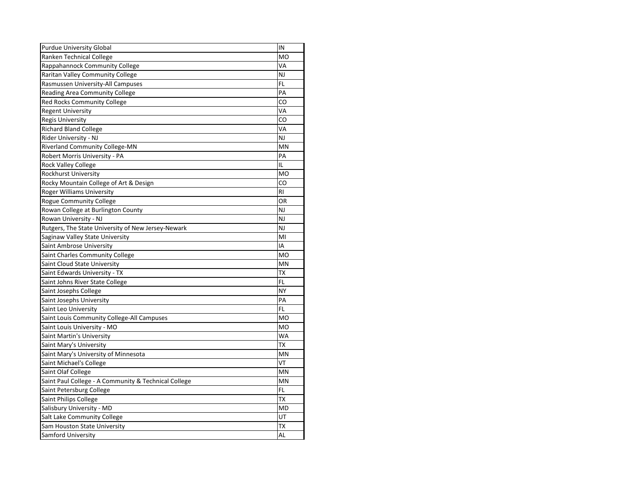| <b>Purdue University Global</b>                      | IN             |
|------------------------------------------------------|----------------|
| Ranken Technical College                             | <b>MO</b>      |
| Rappahannock Community College                       | VA             |
| Raritan Valley Community College                     | <b>NJ</b>      |
| Rasmussen University-All Campuses                    | FL             |
| <b>Reading Area Community College</b>                | PA             |
| Red Rocks Community College                          | CO             |
| <b>Regent University</b>                             | VA             |
| <b>Regis University</b>                              | CO             |
| <b>Richard Bland College</b>                         | VA             |
| Rider University - NJ                                | NJ             |
| <b>Riverland Community College-MN</b>                | MN             |
| Robert Morris University - PA                        | PA             |
| <b>Rock Valley College</b>                           | IL             |
| Rockhurst University                                 | <b>MO</b>      |
| Rocky Mountain College of Art & Design               | CO             |
| <b>Roger Williams University</b>                     | <b>RI</b>      |
| <b>Rogue Community College</b>                       | OR             |
| Rowan College at Burlington County                   | NJ             |
| Rowan University - NJ                                | <b>NJ</b>      |
| Rutgers, The State University of New Jersey-Newark   | NJ             |
| Saginaw Valley State University                      | MI             |
| Saint Ambrose University                             | ΙA             |
| Saint Charles Community College                      | M <sub>O</sub> |
| Saint Cloud State University                         | <b>MN</b>      |
| Saint Edwards University - TX                        | ТX             |
| Saint Johns River State College                      | FL             |
| Saint Josephs College                                | <b>NY</b>      |
| Saint Josephs University                             | PA             |
| Saint Leo University                                 | <b>FL</b>      |
| Saint Louis Community College-All Campuses           | <b>MO</b>      |
| Saint Louis University - MO                          | <b>MO</b>      |
| Saint Martin's University                            | WA             |
| Saint Mary's University                              | ТX             |
| Saint Mary's University of Minnesota                 | ΜN             |
| Saint Michael's College                              | VT             |
| Saint Olaf College                                   | MN             |
| Saint Paul College - A Community & Technical College | MN             |
| Saint Petersburg College                             | FL             |
| Saint Philips College                                | ТX             |
| Salisbury University - MD                            | <b>MD</b>      |
| Salt Lake Community College                          | UT             |
| Sam Houston State University                         | TX             |
| Samford University                                   | <b>AL</b>      |
|                                                      |                |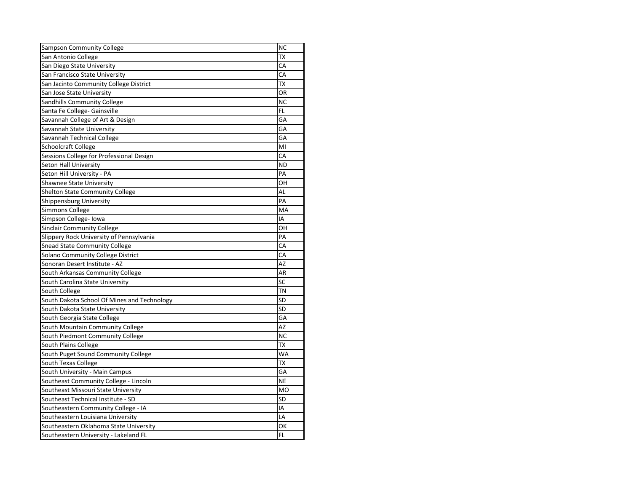| <b>Sampson Community College</b>            | <b>NC</b> |
|---------------------------------------------|-----------|
| San Antonio College                         | ТX        |
| San Diego State University                  | CA        |
| San Francisco State University              | CA        |
| San Jacinto Community College District      | <b>TX</b> |
| San Jose State University                   | OR        |
| Sandhills Community College                 | <b>NC</b> |
| Santa Fe College- Gainsville                | <b>FL</b> |
| Savannah College of Art & Design            | GA        |
| Savannah State University                   | GA        |
| Savannah Technical College                  | GA        |
| Schoolcraft College                         | MI        |
| Sessions College for Professional Design    | CA        |
| <b>Seton Hall University</b>                | <b>ND</b> |
| Seton Hill University - PA                  | PA        |
| <b>Shawnee State University</b>             | OH        |
| <b>Shelton State Community College</b>      | AL        |
| Shippensburg University                     | PA        |
| <b>Simmons College</b>                      | MA        |
| Simpson College- Iowa                       | IA        |
| <b>Sinclair Community College</b>           | OH        |
| Slippery Rock University of Pennsylvania    | PA        |
| <b>Snead State Community College</b>        | CA        |
| Solano Community College District           | CA        |
| Sonoran Desert Institute - AZ               | <b>AZ</b> |
| South Arkansas Community College            | <b>AR</b> |
| South Carolina State University             | SC        |
| South College                               | <b>TN</b> |
| South Dakota School Of Mines and Technology | <b>SD</b> |
| South Dakota State University               | <b>SD</b> |
| South Georgia State College                 | GA        |
| South Mountain Community College            | AZ        |
| South Piedmont Community College            | <b>NC</b> |
| South Plains College                        | <b>TX</b> |
| South Puget Sound Community College         | WA        |
| South Texas College                         | TX        |
| South University - Main Campus              | GA        |
| Southeast Community College - Lincoln       | <b>NE</b> |
| Southeast Missouri State University         | <b>MO</b> |
| Southeast Technical Institute - SD          | <b>SD</b> |
| Southeastern Community College - IA         | IA        |
| Southeastern Louisiana University           | LA        |
| Southeastern Oklahoma State University      | ОΚ        |
| Southeastern University - Lakeland FL       | FL        |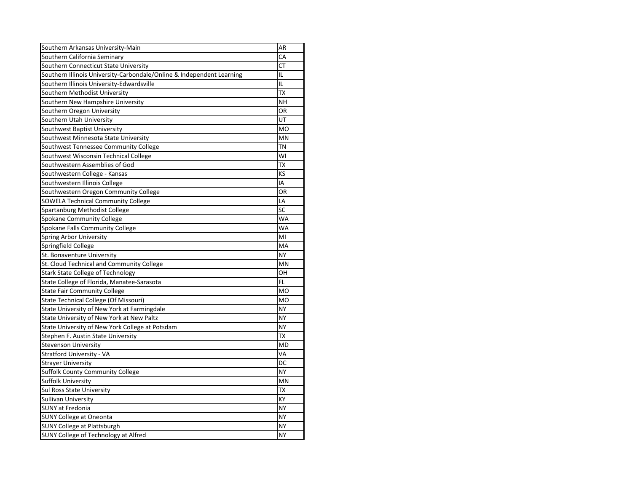| Southern Arkansas University-Main                                     | AR        |
|-----------------------------------------------------------------------|-----------|
| Southern California Seminary                                          | CA        |
| Southern Connecticut State University                                 | <b>CT</b> |
| Southern Illinois University-Carbondale/Online & Independent Learning | IL        |
| Southern Illinois University-Edwardsville                             | IL        |
| Southern Methodist University                                         | <b>TX</b> |
| Southern New Hampshire University                                     | <b>NH</b> |
| Southern Oregon University                                            | <b>OR</b> |
| Southern Utah University                                              | UT        |
| Southwest Baptist University                                          | <b>MO</b> |
| Southwest Minnesota State University                                  | <b>MN</b> |
| Southwest Tennessee Community College                                 | <b>TN</b> |
| Southwest Wisconsin Technical College                                 | WI        |
| Southwestern Assemblies of God                                        | <b>ΤX</b> |
| Southwestern College - Kansas                                         | KS        |
| Southwestern Illinois College                                         | IA        |
| Southwestern Oregon Community College                                 | OR        |
| <b>SOWELA Technical Community College</b>                             | LA        |
| Spartanburg Methodist College                                         | SC        |
| <b>Spokane Community College</b>                                      | <b>WA</b> |
| Spokane Falls Community College                                       | <b>WA</b> |
| <b>Spring Arbor University</b>                                        | MI        |
| Springfield College                                                   | MA        |
| St. Bonaventure University                                            | <b>NY</b> |
| St. Cloud Technical and Community College                             | <b>MN</b> |
| <b>Stark State College of Technology</b>                              | OH        |
| State College of Florida, Manatee-Sarasota                            | <b>FL</b> |
| <b>State Fair Community College</b>                                   | <b>MO</b> |
| State Technical College (Of Missouri)                                 | <b>MO</b> |
| State University of New York at Farmingdale                           | <b>NY</b> |
| State University of New York at New Paltz                             | <b>NY</b> |
| State University of New York College at Potsdam                       | <b>NY</b> |
| Stephen F. Austin State University                                    | <b>ΤX</b> |
| <b>Stevenson University</b>                                           | <b>MD</b> |
| <b>Stratford University - VA</b>                                      | VA        |
| <b>Strayer University</b>                                             | DC        |
| <b>Suffolk County Community College</b>                               | <b>NY</b> |
| Suffolk University                                                    | MN        |
| <b>Sul Ross State University</b>                                      | <b>TX</b> |
| Sullivan University                                                   | KY        |
| <b>SUNY at Fredonia</b>                                               | <b>NY</b> |
| <b>SUNY College at Oneonta</b>                                        | <b>NY</b> |
| <b>SUNY College at Plattsburgh</b>                                    | <b>NY</b> |
| SUNY College of Technology at Alfred                                  | <b>NY</b> |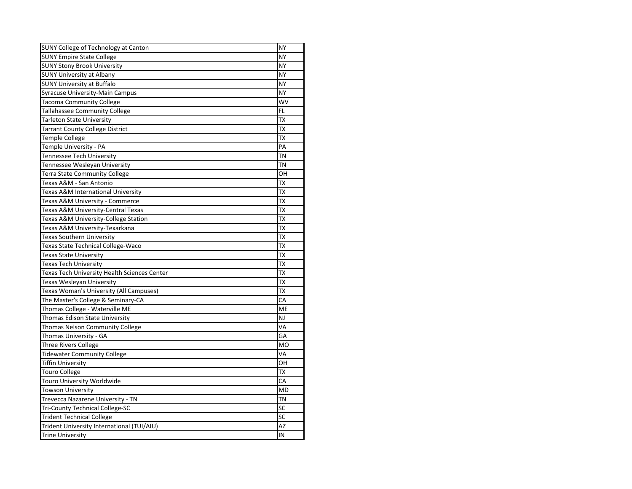| SUNY College of Technology at Canton         | <b>NY</b> |
|----------------------------------------------|-----------|
| <b>SUNY Empire State College</b>             | <b>NY</b> |
| <b>SUNY Stony Brook University</b>           | <b>NY</b> |
| <b>SUNY University at Albany</b>             | <b>NY</b> |
| <b>SUNY University at Buffalo</b>            | <b>NY</b> |
| Syracuse University-Main Campus              | <b>NY</b> |
| <b>Tacoma Community College</b>              | WV        |
| <b>Tallahassee Community College</b>         | FL        |
| <b>Tarleton State University</b>             | <b>TX</b> |
| <b>Tarrant County College District</b>       | <b>TX</b> |
| <b>Temple College</b>                        | <b>TX</b> |
| Temple University - PA                       | PA        |
| <b>Tennessee Tech University</b>             | <b>TN</b> |
| Tennessee Wesleyan University                | <b>TN</b> |
| <b>Terra State Community College</b>         | OH        |
| Texas A&M - San Antonio                      | <b>TX</b> |
| Texas A&M International University           | ТX        |
| Texas A&M University - Commerce              | <b>TX</b> |
| Texas A&M University-Central Texas           | <b>ΤX</b> |
| Texas A&M University-College Station         | <b>ΤX</b> |
| Texas A&M University-Texarkana               | <b>TX</b> |
| <b>Texas Southern University</b>             | TX        |
| <b>Texas State Technical College-Waco</b>    | TX        |
| <b>Texas State University</b>                | ТX        |
| <b>Texas Tech University</b>                 | <b>ΤX</b> |
| Texas Tech University Health Sciences Center | <b>TX</b> |
| Texas Wesleyan University                    | ТX        |
| Texas Woman's University (All Campuses)      | ТX        |
| The Master's College & Seminary-CA           | CA        |
| Thomas College - Waterville ME               | ME        |
| Thomas Edison State University               | <b>NJ</b> |
| Thomas Nelson Community College              | VA        |
| Thomas University - GA                       | GA        |
| <b>Three Rivers College</b>                  | <b>MO</b> |
| <b>Tidewater Community College</b>           | VA        |
| <b>Tiffin University</b>                     | OH        |
| <b>Touro College</b>                         | <b>TX</b> |
| <b>Touro University Worldwide</b>            | CA        |
| <b>Towson University</b>                     | <b>MD</b> |
| Trevecca Nazarene University - TN            | <b>TN</b> |
| <b>Tri-County Technical College-SC</b>       | <b>SC</b> |
| <b>Trident Technical College</b>             | <b>SC</b> |
| Trident University International (TUI/AIU)   | AZ        |
| <b>Trine University</b>                      | IN        |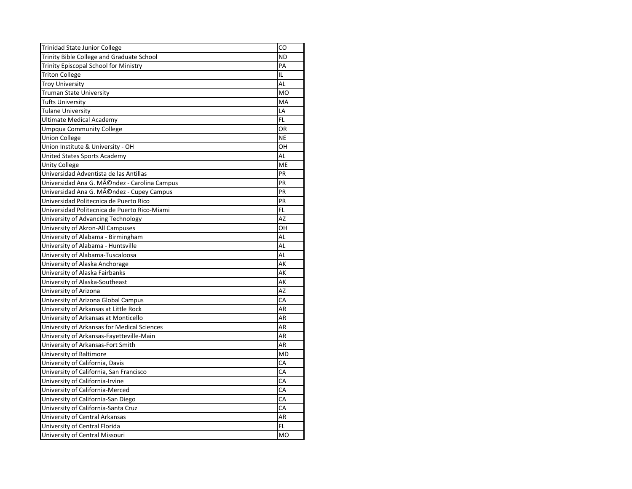| CO             |
|----------------|
| <b>ND</b>      |
| PA             |
| IL             |
| AL             |
| M <sub>O</sub> |
| MA             |
| LA             |
| FL             |
| <b>OR</b>      |
| <b>NE</b>      |
| OH             |
| <b>AL</b>      |
| ME             |
| PR             |
| PR             |
| PR             |
| PR             |
| FL.            |
| AZ             |
| OH             |
| <b>AL</b>      |
| AL             |
| <b>AL</b>      |
| AK             |
| AK             |
| АK             |
| <b>AZ</b>      |
| CA             |
| <b>AR</b>      |
| AR             |
| AR             |
| AR             |
| AR             |
| MD             |
| CA             |
| CA             |
| CA             |
| CA             |
| CA             |
| CA             |
| AR             |
| FL.            |
| <b>MO</b>      |
|                |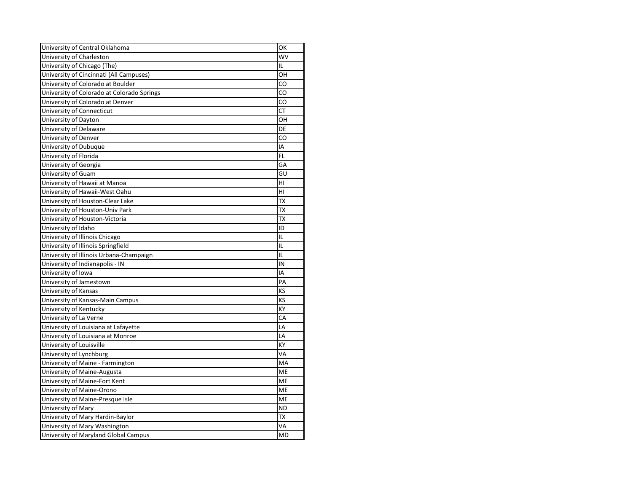| University of Central Oklahoma             | OK        |
|--------------------------------------------|-----------|
| University of Charleston                   | WV        |
| University of Chicago (The)                | IL        |
| University of Cincinnati (All Campuses)    | OH        |
| University of Colorado at Boulder          | CO        |
| University of Colorado at Colorado Springs | CO        |
| University of Colorado at Denver           | CO        |
| University of Connecticut                  | <b>CT</b> |
| University of Dayton                       | OH        |
| University of Delaware                     | DE        |
| University of Denver                       | CO        |
| University of Dubuque                      | ΙA        |
| University of Florida                      | FL        |
| University of Georgia                      | GA        |
| <b>University of Guam</b>                  | GU        |
| University of Hawaii at Manoa              | HI        |
| University of Hawaii-West Oahu             | HI        |
| University of Houston-Clear Lake           | <b>TX</b> |
| University of Houston-Univ Park            | ТX        |
| University of Houston-Victoria             | TX        |
| University of Idaho                        | ID        |
| University of Illinois Chicago             | IL        |
| University of Illinois Springfield         | IL        |
| University of Illinois Urbana-Champaign    | IL        |
| University of Indianapolis - IN            | IN        |
| University of Iowa                         | ΙA        |
| University of Jamestown                    | PA        |
| <b>University of Kansas</b>                | KS        |
| University of Kansas-Main Campus           | KS        |
| University of Kentucky                     | KY        |
| University of La Verne                     | CA        |
| University of Louisiana at Lafayette       | LA        |
| University of Louisiana at Monroe          | LA        |
| University of Louisville                   | KY        |
| University of Lynchburg                    | VA        |
| University of Maine - Farmington           | MA        |
| University of Maine-Augusta                | ME        |
| University of Maine-Fort Kent              | ME        |
| University of Maine-Orono                  | ME        |
| University of Maine-Presque Isle           | ME        |
| University of Mary                         | <b>ND</b> |
| University of Mary Hardin-Baylor           | <b>TX</b> |
| University of Mary Washington              | VA        |
| University of Maryland Global Campus       | MD        |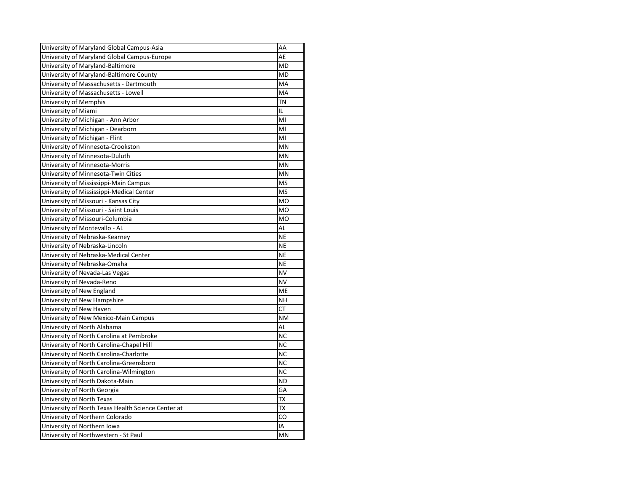| University of Maryland Global Campus-Asia          | AA        |
|----------------------------------------------------|-----------|
| University of Maryland Global Campus-Europe        | AE        |
| University of Maryland-Baltimore                   | <b>MD</b> |
| University of Maryland-Baltimore County            | <b>MD</b> |
| University of Massachusetts - Dartmouth            | MA        |
| University of Massachusetts - Lowell               | MA        |
| University of Memphis                              | <b>TN</b> |
| University of Miami                                | IL        |
| University of Michigan - Ann Arbor                 | MI        |
| University of Michigan - Dearborn                  | MI        |
| University of Michigan - Flint                     | MI        |
| University of Minnesota-Crookston                  | <b>MN</b> |
| University of Minnesota-Duluth                     | MN        |
| University of Minnesota-Morris                     | MN        |
| University of Minnesota-Twin Cities                | MN        |
| University of Mississippi-Main Campus              | <b>MS</b> |
| University of Mississippi-Medical Center           | <b>MS</b> |
| University of Missouri - Kansas City               | <b>MO</b> |
| University of Missouri - Saint Louis               | <b>MO</b> |
| University of Missouri-Columbia                    | <b>MO</b> |
| University of Montevallo - AL                      | AL        |
| University of Nebraska-Kearney                     | <b>NE</b> |
| University of Nebraska-Lincoln                     | <b>NE</b> |
| University of Nebraska-Medical Center              | <b>NE</b> |
| University of Nebraska-Omaha                       | <b>NE</b> |
| University of Nevada-Las Vegas                     | <b>NV</b> |
| University of Nevada-Reno                          | <b>NV</b> |
| University of New England                          | <b>ME</b> |
| University of New Hampshire                        | <b>NH</b> |
| University of New Haven                            | <b>CT</b> |
| University of New Mexico-Main Campus               | <b>NM</b> |
| University of North Alabama                        | AL        |
| University of North Carolina at Pembroke           | <b>NC</b> |
| University of North Carolina-Chapel Hill           | <b>NC</b> |
| University of North Carolina-Charlotte             | <b>NC</b> |
| University of North Carolina-Greensboro            | <b>NC</b> |
| University of North Carolina-Wilmington            | <b>NC</b> |
| University of North Dakota-Main                    | <b>ND</b> |
| University of North Georgia                        | GA        |
| University of North Texas                          | <b>TX</b> |
| University of North Texas Health Science Center at | TX        |
| University of Northern Colorado                    | CO        |
| University of Northern Iowa                        | IA        |
| University of Northwestern - St Paul               | <b>MN</b> |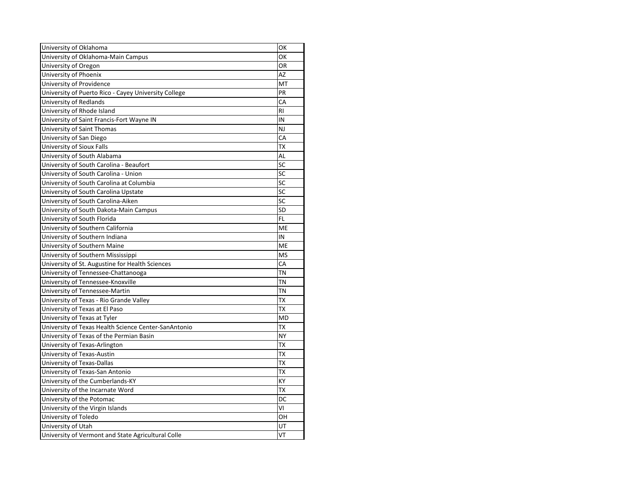| University of Oklahoma                               | OK             |
|------------------------------------------------------|----------------|
| University of Oklahoma-Main Campus                   | OK             |
| University of Oregon                                 | <b>OR</b>      |
| University of Phoenix                                | <b>AZ</b>      |
| University of Providence                             | MT             |
| University of Puerto Rico - Cayey University College | PR             |
| University of Redlands                               | CA             |
| University of Rhode Island                           | R <sub>l</sub> |
| University of Saint Francis-Fort Wayne IN            | IN             |
| University of Saint Thomas                           | <b>NJ</b>      |
| University of San Diego                              | CA             |
| University of Sioux Falls                            | <b>TX</b>      |
| University of South Alabama                          | AL             |
| University of South Carolina - Beaufort              | SC             |
| University of South Carolina - Union                 | SC             |
| University of South Carolina at Columbia             | SC             |
| University of South Carolina Upstate                 | <b>SC</b>      |
| University of South Carolina-Aiken                   | SC             |
| University of South Dakota-Main Campus               | SD             |
| University of South Florida                          | <b>FL</b>      |
| University of Southern California                    | ME             |
| University of Southern Indiana                       | IN             |
| University of Southern Maine                         | ME             |
| University of Southern Mississippi                   | <b>MS</b>      |
| University of St. Augustine for Health Sciences      | CA             |
| University of Tennessee-Chattanooga                  | <b>TN</b>      |
| University of Tennessee-Knoxville                    | TN             |
| University of Tennessee-Martin                       | <b>TN</b>      |
| University of Texas - Rio Grande Valley              | <b>TX</b>      |
| University of Texas at El Paso                       | <b>TX</b>      |
| University of Texas at Tyler                         | <b>MD</b>      |
| University of Texas Health Science Center-SanAntonio | IХ             |
| University of Texas of the Permian Basin             | <b>NY</b>      |
| University of Texas-Arlington                        | <b>TX</b>      |
| University of Texas-Austin                           | TX             |
| University of Texas-Dallas                           | <b>TX</b>      |
| University of Texas-San Antonio                      | TX             |
| University of the Cumberlands-KY                     | KY             |
| University of the Incarnate Word                     | <b>TX</b>      |
| University of the Potomac                            | DC             |
| University of the Virgin Islands                     | VI             |
| University of Toledo                                 | OH             |
| University of Utah                                   | UT             |
| University of Vermont and State Agricultural Colle   | VT             |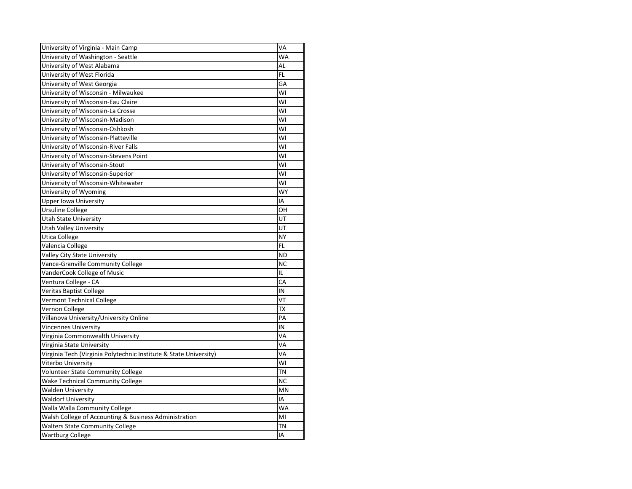| University of Virginia - Main Camp                                | VA         |
|-------------------------------------------------------------------|------------|
| University of Washington - Seattle                                | <b>WA</b>  |
| University of West Alabama                                        | <b>AL</b>  |
| University of West Florida                                        | <b>FL</b>  |
| University of West Georgia                                        | GA         |
| University of Wisconsin - Milwaukee                               | WI         |
| University of Wisconsin-Eau Claire                                | WI         |
| University of Wisconsin-La Crosse                                 | WI         |
| University of Wisconsin-Madison                                   | WI         |
| University of Wisconsin-Oshkosh                                   | WI         |
| University of Wisconsin-Platteville                               | WI         |
| University of Wisconsin-River Falls                               | WI         |
| University of Wisconsin-Stevens Point                             | WI         |
| University of Wisconsin-Stout                                     | WI         |
| University of Wisconsin-Superior                                  | WI         |
| University of Wisconsin-Whitewater                                | WI         |
| University of Wyoming                                             | WY         |
| <b>Upper lowa University</b>                                      | IA         |
| <b>Ursuline College</b>                                           | OH         |
| <b>Utah State University</b>                                      | UT         |
| <b>Utah Valley University</b>                                     | UT         |
| <b>Utica College</b>                                              | <b>NY</b>  |
| Valencia College                                                  | <b>FL</b>  |
| Valley City State University                                      | <b>ND</b>  |
| Vance-Granville Community College                                 | <b>NC</b>  |
| VanderCook College of Music                                       | IL         |
| Ventura College - CA                                              | CA         |
| <b>Veritas Baptist College</b>                                    | IN         |
| <b>Vermont Technical College</b>                                  | VT         |
| Vernon College                                                    | TX         |
| Villanova University/University Online                            | PA         |
| <b>Vincennes University</b>                                       | ${\sf IN}$ |
| Virginia Commonwealth University                                  | VA         |
| Virginia State University                                         | VA         |
| Virginia Tech (Virginia Polytechnic Institute & State University) | VA         |
| Viterbo University                                                | WI         |
| <b>Volunteer State Community College</b>                          | TN         |
| <b>Wake Technical Community College</b>                           | <b>NC</b>  |
| <b>Walden University</b>                                          | MN         |
| <b>Waldorf University</b>                                         | IA         |
| Walla Walla Community College                                     | WA         |
| Walsh College of Accounting & Business Administration             | MI         |
| <b>Walters State Community College</b>                            | TN         |
| <b>Wartburg College</b>                                           | IA         |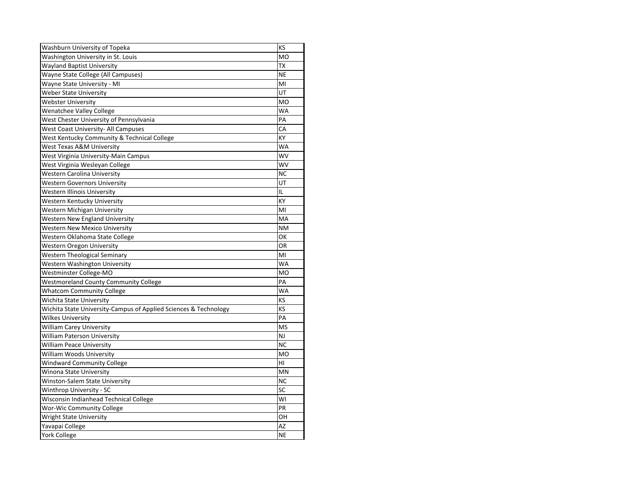| Washburn University of Topeka                                    | KS        |
|------------------------------------------------------------------|-----------|
| Washington University in St. Louis                               | <b>MO</b> |
| <b>Wayland Baptist University</b>                                | <b>TX</b> |
| Wayne State College (All Campuses)                               | <b>NE</b> |
| Wayne State University - MI                                      | MI        |
| <b>Weber State University</b>                                    | UT        |
| <b>Webster University</b>                                        | <b>MO</b> |
| <b>Wenatchee Valley College</b>                                  | <b>WA</b> |
| West Chester University of Pennsylvania                          | PA        |
| <b>West Coast University- All Campuses</b>                       | CA        |
| West Kentucky Community & Technical College                      | KY        |
| <b>West Texas A&amp;M University</b>                             | WA        |
| West Virginia University-Main Campus                             | WV        |
| West Virginia Wesleyan College                                   | WV        |
| <b>Western Carolina University</b>                               | <b>NC</b> |
| <b>Western Governors University</b>                              | UT        |
| Western Illinois University                                      | IL        |
| Western Kentucky University                                      | KY        |
| <b>Western Michigan University</b>                               | MI        |
| <b>Western New England University</b>                            | MA        |
| <b>Western New Mexico University</b>                             | <b>NM</b> |
| Western Oklahoma State College                                   | ОΚ        |
| <b>Western Oregon University</b>                                 | OR        |
| <b>Western Theological Seminary</b>                              | MI        |
| Western Washington University                                    | WA        |
| Westminster College-MO                                           | <b>MO</b> |
| <b>Westmoreland County Community College</b>                     | PA        |
| <b>Whatcom Community College</b>                                 | WA        |
| Wichita State University                                         | KS        |
| Wichita State University-Campus of Applied Sciences & Technology | KS        |
| <b>Wilkes University</b>                                         | PA        |
| <b>William Carey University</b>                                  | <b>MS</b> |
| <b>William Paterson University</b>                               | <b>NJ</b> |
| <b>William Peace University</b>                                  | <b>NC</b> |
| William Woods University                                         | <b>MO</b> |
| <b>Windward Community College</b>                                | HI        |
| <b>Winona State University</b>                                   | MN        |
| <b>Winston-Salem State University</b>                            | <b>NC</b> |
| Winthrop University - SC                                         | SC        |
| Wisconsin Indianhead Technical College                           | WI        |
| <b>Wor-Wic Community College</b>                                 | PR        |
| <b>Wright State University</b>                                   | OН        |
| Yavapai College                                                  | AZ        |
| <b>York College</b>                                              | <b>NE</b> |